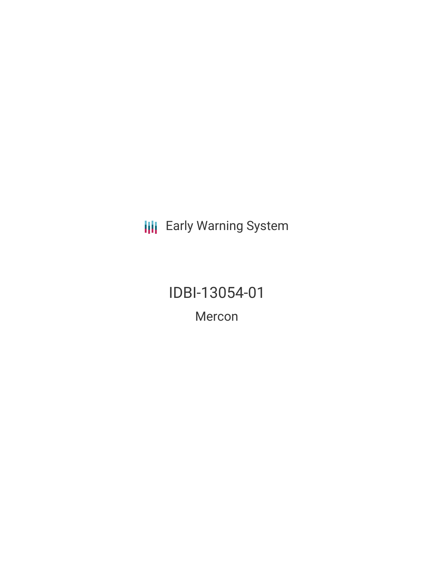**III** Early Warning System

IDBI-13054-01 Mercon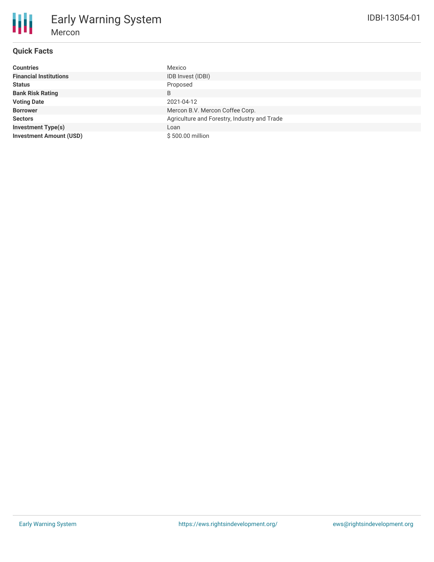# **Quick Facts**

Mercon

Early Warning System

| <b>Countries</b>               | Mexico                                       |
|--------------------------------|----------------------------------------------|
| <b>Financial Institutions</b>  | IDB Invest (IDBI)                            |
| <b>Status</b>                  | Proposed                                     |
| <b>Bank Risk Rating</b>        | B                                            |
| <b>Voting Date</b>             | 2021-04-12                                   |
| <b>Borrower</b>                | Mercon B.V. Mercon Coffee Corp.              |
| <b>Sectors</b>                 | Agriculture and Forestry, Industry and Trade |
| <b>Investment Type(s)</b>      | Loan                                         |
| <b>Investment Amount (USD)</b> | \$500.00 million                             |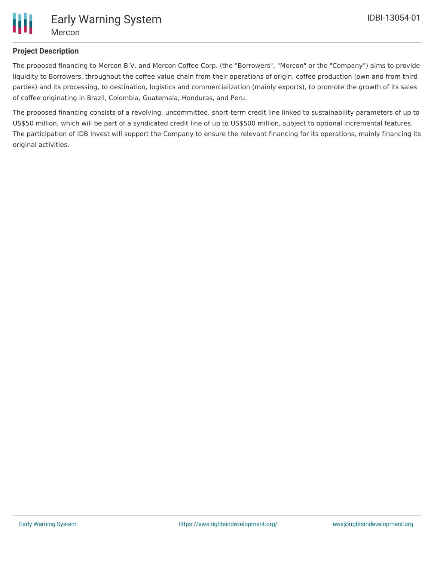

# **Project Description**

The proposed financing to Mercon B.V. and Mercon Coffee Corp. (the "Borrowers", "Mercon" or the "Company") aims to provide liquidity to Borrowers, throughout the coffee value chain from their operations of origin, coffee production (own and from third parties) and its processing, to destination, logistics and commercialization (mainly exports), to promote the growth of its sales of coffee originating in Brazil, Colombia, Guatemala, Honduras, and Peru.

The proposed financing consists of a revolving, uncommitted, short-term credit line linked to sustainability parameters of up to US\$50 million, which will be part of a syndicated credit line of up to US\$500 million, subject to optional incremental features. The participation of IDB Invest will support the Company to ensure the relevant financing for its operations, mainly financing its original activities.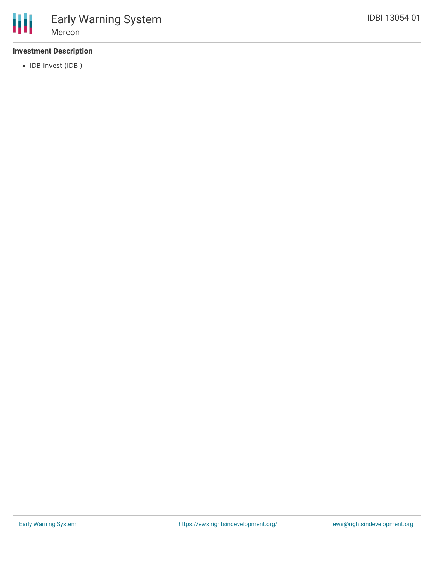## **Investment Description**

• IDB Invest (IDBI)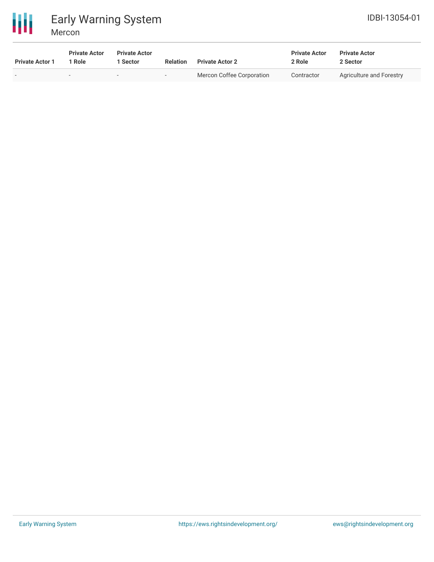

# Early Warning System Mercon

| <b>Private Actor 1</b> | <b>Private Actor</b><br>1 Role | <b>Private Actor</b><br>1 Sector | Relation                 | <b>Private Actor 2</b>    | <b>Private Actor</b><br>2 Role | <b>Private Actor</b><br>2 Sector |
|------------------------|--------------------------------|----------------------------------|--------------------------|---------------------------|--------------------------------|----------------------------------|
|                        | . .                            | $\sim$                           | $\overline{\phantom{0}}$ | Mercon Coffee Corporation | Contractor                     | Agriculture and Forestry         |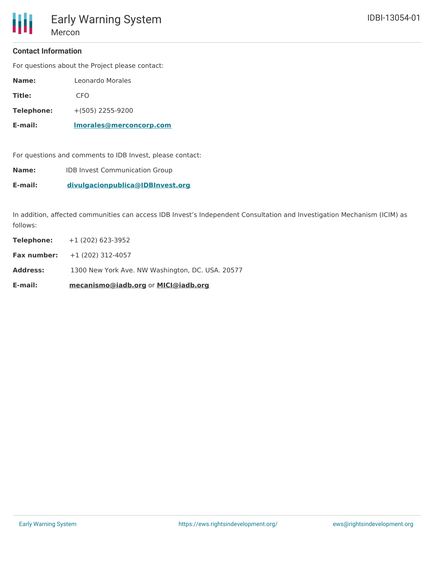#### **Contact Information**

For questions about the Project please contact:

- **Title:** CFO
- **Telephone:** +(505) 2255-9200

**E-mail: [lmorales@merconcorp.com](mailto:lmorales@merconcorp.com)**

For questions and comments to IDB Invest, please contact:

**Name:** IDB Invest Communication Group

**E-mail: [divulgacionpublica@IDBInvest.org](mailto:divulgacionpublica@IDBInvest.org)**

In addition, affected communities can access IDB Invest's Independent Consultation and Investigation Mechanism (ICIM) as follows:

| E-mail:         | mecanismo@iadb.org or MICI@iadb.org              |  |  |
|-----------------|--------------------------------------------------|--|--|
| <b>Address:</b> | 1300 New York Ave. NW Washington, DC. USA. 20577 |  |  |
|                 | <b>Fax number:</b> $+1(202) 312-4057$            |  |  |
| Telephone:      | $+1(202)623-3952$                                |  |  |